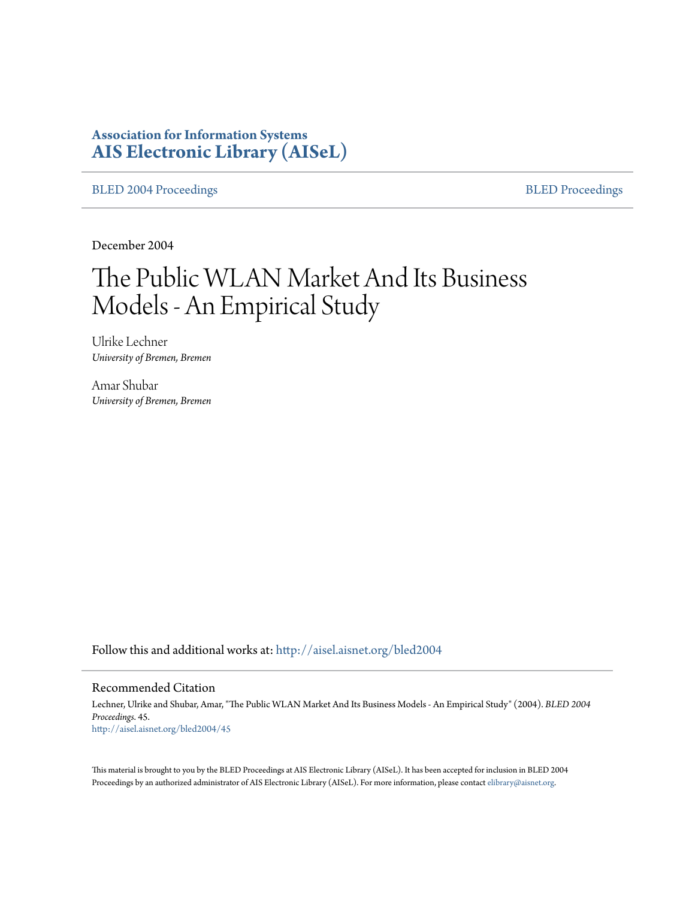# **Association for Information Systems [AIS Electronic Library \(AISeL\)](http://aisel.aisnet.org?utm_source=aisel.aisnet.org%2Fbled2004%2F45&utm_medium=PDF&utm_campaign=PDFCoverPages)**

[BLED 2004 Proceedings](http://aisel.aisnet.org/bled2004?utm_source=aisel.aisnet.org%2Fbled2004%2F45&utm_medium=PDF&utm_campaign=PDFCoverPages) **[BLED Proceedings](http://aisel.aisnet.org/bled?utm_source=aisel.aisnet.org%2Fbled2004%2F45&utm_medium=PDF&utm_campaign=PDFCoverPages)** 

December 2004

# The Public WLAN Market And Its Business Models - An Empirical Study

Ulrike Lechner *University of Bremen, Bremen*

Amar Shubar *University of Bremen, Bremen*

Follow this and additional works at: [http://aisel.aisnet.org/bled2004](http://aisel.aisnet.org/bled2004?utm_source=aisel.aisnet.org%2Fbled2004%2F45&utm_medium=PDF&utm_campaign=PDFCoverPages)

#### Recommended Citation

Lechner, Ulrike and Shubar, Amar, "The Public WLAN Market And Its Business Models - An Empirical Study" (2004). *BLED 2004 Proceedings*. 45. [http://aisel.aisnet.org/bled2004/45](http://aisel.aisnet.org/bled2004/45?utm_source=aisel.aisnet.org%2Fbled2004%2F45&utm_medium=PDF&utm_campaign=PDFCoverPages)

This material is brought to you by the BLED Proceedings at AIS Electronic Library (AISeL). It has been accepted for inclusion in BLED 2004 Proceedings by an authorized administrator of AIS Electronic Library (AISeL). For more information, please contact [elibrary@aisnet.org](mailto:elibrary@aisnet.org%3E).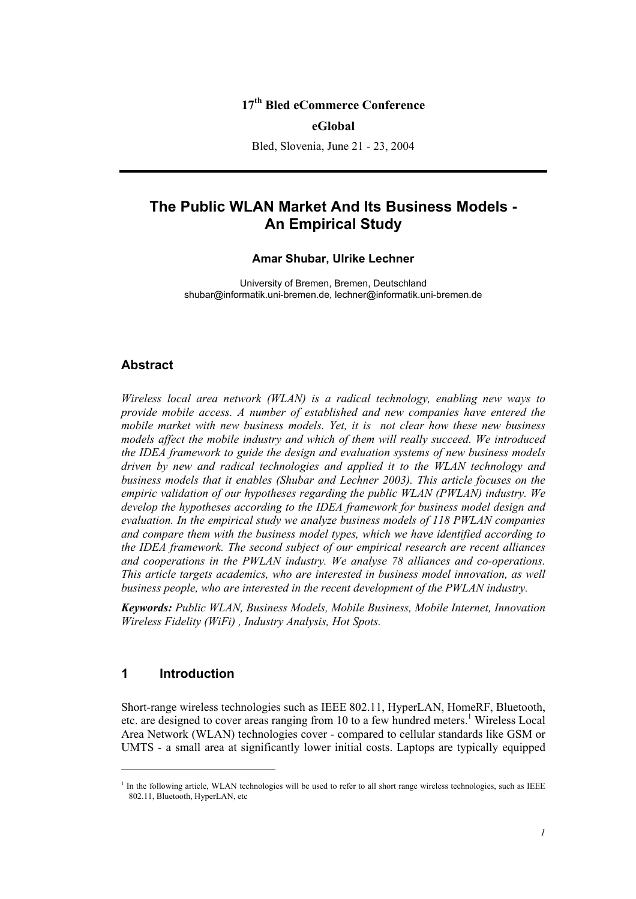## **17th Bled eCommerce Conference**

#### **eGlobal**

Bled, Slovenia, June 21 - 23, 2004

# **The Public WLAN Market And Its Business Models - An Empirical Study**

#### **Amar Shubar, Ulrike Lechner**

University of Bremen, Bremen, Deutschland shubar@informatik.uni-bremen.de, lechner@informatik.uni-bremen.de

#### **Abstract**

*Wireless local area network (WLAN) is a radical technology, enabling new ways to provide mobile access. A number of established and new companies have entered the mobile market with new business models. Yet, it is not clear how these new business models affect the mobile industry and which of them will really succeed. We introduced the IDEA framework to guide the design and evaluation systems of new business models driven by new and radical technologies and applied it to the WLAN technology and business models that it enables (Shubar and Lechner 2003). This article focuses on the empiric validation of our hypotheses regarding the public WLAN (PWLAN) industry. We develop the hypotheses according to the IDEA framework for business model design and evaluation. In the empirical study we analyze business models of 118 PWLAN companies and compare them with the business model types, which we have identified according to the IDEA framework. The second subject of our empirical research are recent alliances and cooperations in the PWLAN industry. We analyse 78 alliances and co-operations. This article targets academics, who are interested in business model innovation, as well business people, who are interested in the recent development of the PWLAN industry.* 

*Keywords: Public WLAN, Business Models, Mobile Business, Mobile Internet, Innovation Wireless Fidelity (WiFi) , Industry Analysis, Hot Spots.* 

## **1 Introduction**

 $\overline{a}$ 

Short-range wireless technologies such as IEEE 802.11, HyperLAN, HomeRF, Bluetooth, etc. are designed to cover areas ranging from 10 to a few hundred meters.<sup>1</sup> Wireless Local Area Network (WLAN) technologies cover - compared to cellular standards like GSM or UMTS - a small area at significantly lower initial costs. Laptops are typically equipped

<sup>&</sup>lt;sup>1</sup> In the following article, WLAN technologies will be used to refer to all short range wireless technologies, such as IEEE 802.11, Bluetooth, HyperLAN, etc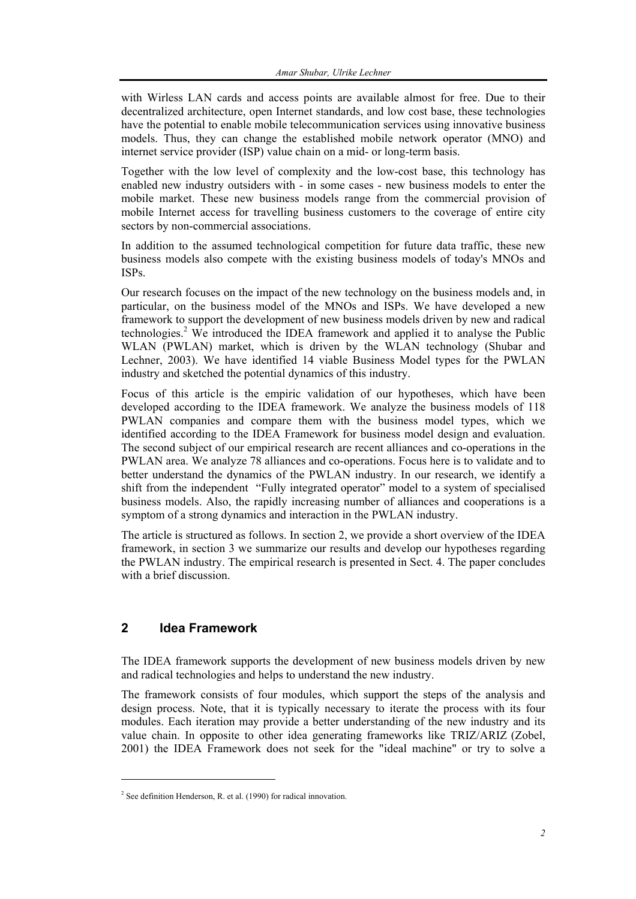with Wirless LAN cards and access points are available almost for free. Due to their decentralized architecture, open Internet standards, and low cost base, these technologies have the potential to enable mobile telecommunication services using innovative business models. Thus, they can change the established mobile network operator (MNO) and internet service provider (ISP) value chain on a mid- or long-term basis.

Together with the low level of complexity and the low-cost base, this technology has enabled new industry outsiders with - in some cases - new business models to enter the mobile market. These new business models range from the commercial provision of mobile Internet access for travelling business customers to the coverage of entire city sectors by non-commercial associations.

In addition to the assumed technological competition for future data traffic, these new business models also compete with the existing business models of today's MNOs and ISPs.

Our research focuses on the impact of the new technology on the business models and, in particular, on the business model of the MNOs and ISPs. We have developed a new framework to support the development of new business models driven by new and radical technologies.<sup>2</sup> We introduced the IDEA framework and applied it to analyse the Public WLAN (PWLAN) market, which is driven by the WLAN technology (Shubar and Lechner, 2003). We have identified 14 viable Business Model types for the PWLAN industry and sketched the potential dynamics of this industry.

Focus of this article is the empiric validation of our hypotheses, which have been developed according to the IDEA framework. We analyze the business models of 118 PWLAN companies and compare them with the business model types, which we identified according to the IDEA Framework for business model design and evaluation. The second subject of our empirical research are recent alliances and co-operations in the PWLAN area. We analyze 78 alliances and co-operations. Focus here is to validate and to better understand the dynamics of the PWLAN industry. In our research, we identify a shift from the independent "Fully integrated operator" model to a system of specialised business models. Also, the rapidly increasing number of alliances and cooperations is a symptom of a strong dynamics and interaction in the PWLAN industry.

The article is structured as follows. In section 2, we provide a short overview of the IDEA framework, in section 3 we summarize our results and develop our hypotheses regarding the PWLAN industry. The empirical research is presented in Sect. 4. The paper concludes with a brief discussion.

## **2 Idea Framework**

l

The IDEA framework supports the development of new business models driven by new and radical technologies and helps to understand the new industry.

The framework consists of four modules, which support the steps of the analysis and design process. Note, that it is typically necessary to iterate the process with its four modules. Each iteration may provide a better understanding of the new industry and its value chain. In opposite to other idea generating frameworks like TRIZ/ARIZ (Zobel, 2001) the IDEA Framework does not seek for the "ideal machine" or try to solve a

 $2^2$  See definition Henderson, R. et al. (1990) for radical innovation.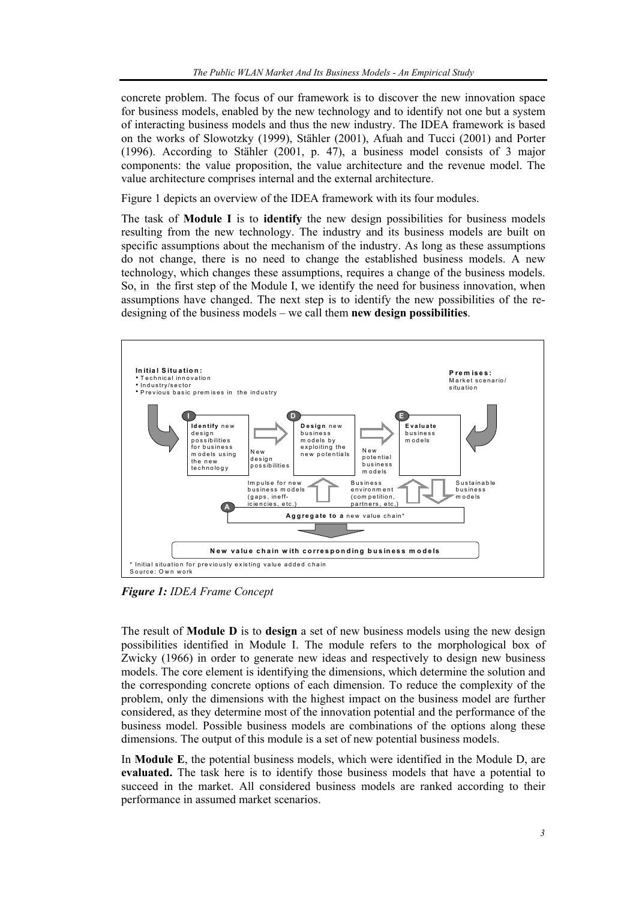concrete problem. The focus of our framework is to discover the new innovation space for business models, enabled by the new technology and to identify not one but a system of interacting business models and thus the new industry. The IDEA framework is based on the works of Slowotzky (1999), Stähler (2001), Afuah and Tucci (2001) and Porter (1996). According to Stähler (2001, p. 47), a business model consists of 3 major components: the value proposition, the value architecture and the revenue model. The value architecture comprises internal and the external architecture.

Figure 1 depicts an overview of the IDEA framework with its four modules.

The task of **Module I** is to **identify** the new design possibilities for business models resulting from the new technology. The industry and its business models are built on specific assumptions about the mechanism of the industry. As long as these assumptions do not change, there is no need to change the established business models. A new technology, which changes these assumptions, requires a change of the business models. So, in the first step of the Module I, we identify the need for business innovation, when assumptions have changed. The next step is to identify the new possibilities of the redesigning of the business models – we call them **new design possibilities**.



*Figure 1: IDEA Frame Concept* 

The result of **Module D** is to **design** a set of new business models using the new design possibilities identified in Module I. The module refers to the morphological box of Zwicky (1966) in order to generate new ideas and respectively to design new business models. The core element is identifying the dimensions, which determine the solution and the corresponding concrete options of each dimension. To reduce the complexity of the problem, only the dimensions with the highest impact on the business model are further considered, as they determine most of the innovation potential and the performance of the business model. Possible business models are combinations of the options along these dimensions. The output of this module is a set of new potential business models.

In **Module E**, the potential business models, which were identified in the Module D, are **evaluated.** The task here is to identify those business models that have a potential to succeed in the market. All considered business models are ranked according to their performance in assumed market scenarios.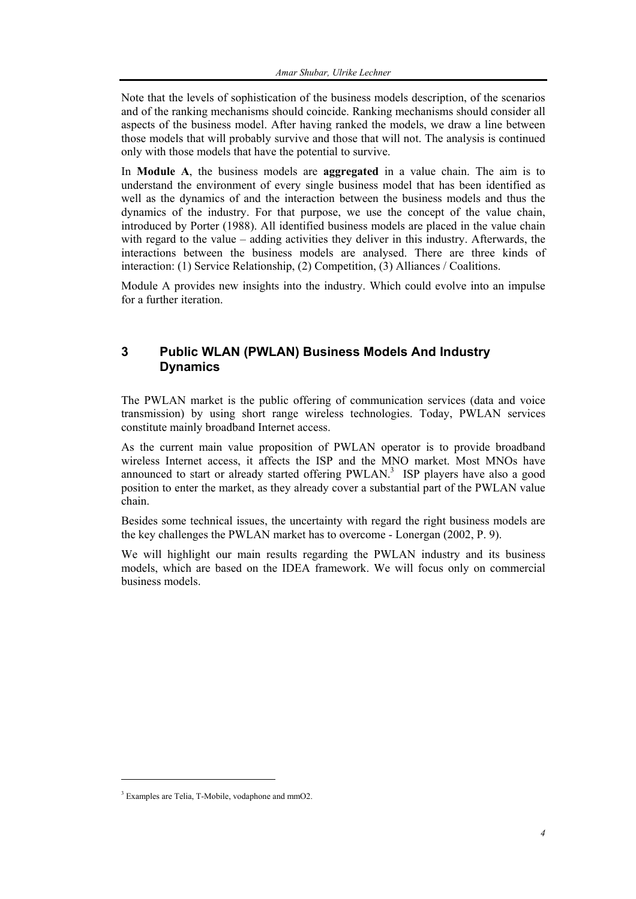Note that the levels of sophistication of the business models description, of the scenarios and of the ranking mechanisms should coincide. Ranking mechanisms should consider all aspects of the business model. After having ranked the models, we draw a line between those models that will probably survive and those that will not. The analysis is continued only with those models that have the potential to survive.

In **Module A**, the business models are **aggregated** in a value chain. The aim is to understand the environment of every single business model that has been identified as well as the dynamics of and the interaction between the business models and thus the dynamics of the industry. For that purpose, we use the concept of the value chain, introduced by Porter (1988). All identified business models are placed in the value chain with regard to the value – adding activities they deliver in this industry. Afterwards, the interactions between the business models are analysed. There are three kinds of interaction: (1) Service Relationship, (2) Competition, (3) Alliances / Coalitions.

Module A provides new insights into the industry. Which could evolve into an impulse for a further iteration.

# **3 Public WLAN (PWLAN) Business Models And Industry Dynamics**

The PWLAN market is the public offering of communication services (data and voice transmission) by using short range wireless technologies. Today, PWLAN services constitute mainly broadband Internet access.

As the current main value proposition of PWLAN operator is to provide broadband wireless Internet access, it affects the ISP and the MNO market. Most MNOs have announced to start or already started offering PWLAN.<sup>3</sup> ISP players have also a good position to enter the market, as they already cover a substantial part of the PWLAN value chain.

Besides some technical issues, the uncertainty with regard the right business models are the key challenges the PWLAN market has to overcome - Lonergan (2002, P. 9).

We will highlight our main results regarding the PWLAN industry and its business models, which are based on the IDEA framework. We will focus only on commercial business models.

l

<sup>&</sup>lt;sup>3</sup> Examples are Telia, T-Mobile, vodaphone and mmO2.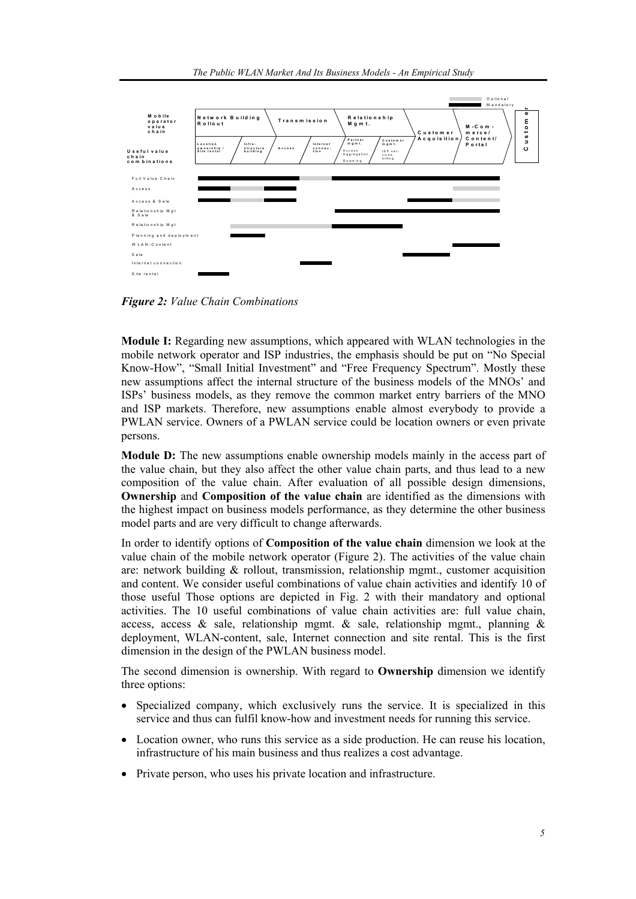

*Figure 2: Value Chain Combinations* 

**Module I:** Regarding new assumptions, which appeared with WLAN technologies in the mobile network operator and ISP industries, the emphasis should be put on "No Special Know-How", "Small Initial Investment" and "Free Frequency Spectrum". Mostly these new assumptions affect the internal structure of the business models of the MNOs' and ISPs' business models, as they remove the common market entry barriers of the MNO and ISP markets. Therefore, new assumptions enable almost everybody to provide a PWLAN service. Owners of a PWLAN service could be location owners or even private persons.

**Module D:** The new assumptions enable ownership models mainly in the access part of the value chain, but they also affect the other value chain parts, and thus lead to a new composition of the value chain. After evaluation of all possible design dimensions, **Ownership** and **Composition of the value chain** are identified as the dimensions with the highest impact on business models performance, as they determine the other business model parts and are very difficult to change afterwards.

In order to identify options of **Composition of the value chain** dimension we look at the value chain of the mobile network operator (Figure 2). The activities of the value chain are: network building  $\&$  rollout, transmission, relationship mgmt., customer acquisition and content. We consider useful combinations of value chain activities and identify 10 of those useful Those options are depicted in Fig. 2 with their mandatory and optional activities. The 10 useful combinations of value chain activities are: full value chain, access, access & sale, relationship mgmt. & sale, relationship mgmt., planning & deployment, WLAN-content, sale, Internet connection and site rental. This is the first dimension in the design of the PWLAN business model.

The second dimension is ownership. With regard to **Ownership** dimension we identify three options:

- Specialized company, which exclusively runs the service. It is specialized in this service and thus can fulfil know-how and investment needs for running this service.
- Location owner, who runs this service as a side production. He can reuse his location, infrastructure of his main business and thus realizes a cost advantage.
- Private person, who uses his private location and infrastructure.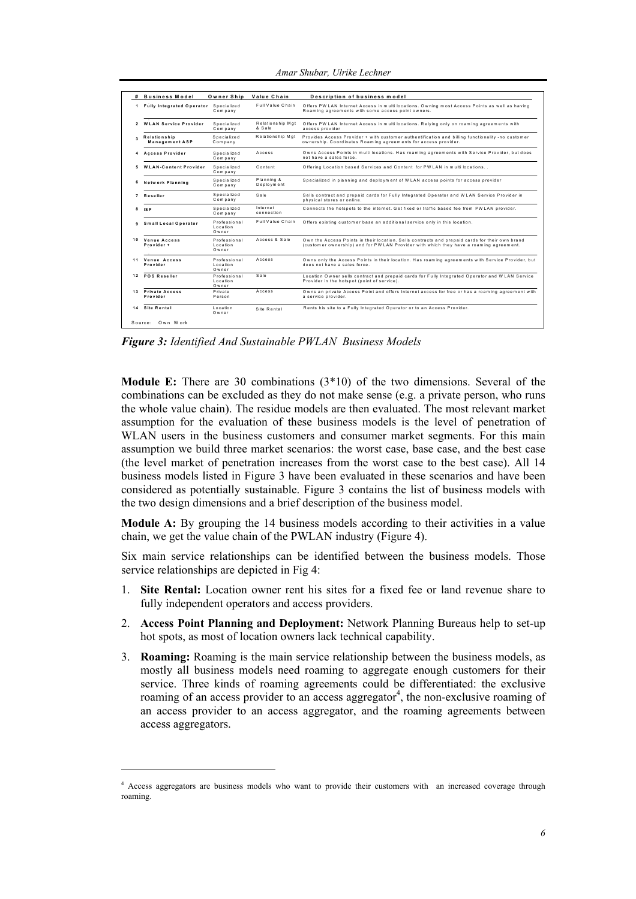|                | # Business Model                        | Owner Ship                        | Value Chain                | Description of business model                                                                                                                                                            |
|----------------|-----------------------------------------|-----------------------------------|----------------------------|------------------------------------------------------------------------------------------------------------------------------------------------------------------------------------------|
|                | 1 Fully Integrated Operator Specialized | Company                           | Full Value Chain           | Offers PW LAN Internet Access in multi locations. Owning most Access Points as well as having<br>Roaming agreements with some access point owners.                                       |
| $\overline{2}$ | <b>WLAN Service Provider</b>            | Specialized<br>Company            | Relationship Mgt<br>& Sale | Offers PW LAN Internet Access in multi locations. Relying only on roaming agreements with<br>access provider                                                                             |
| R              | Relationship<br>Management ASP          | Specialized<br>Company            | Relationship Mgt           | Provides Access Provider + with customer authentification and billing functionality -no customer<br>ownership. Coordinates Roaming agreements for access provider.                       |
| 4              | <b>Access Provider</b>                  | Specialized<br>Company            | Access                     | Owns Access Points in multi locations. Has roaming agreements with Service Provider, but does<br>not have a sales force                                                                  |
| 5              | <b>WLAN-Content Provider</b>            | Specialized<br>Company            | Content                    | Offering Location based Services and Content for PW LAN in multi locations                                                                                                               |
| 6              | Network Planning                        | Specialized<br>Company            | Planning &<br>Deployment   | Specialized in planning and deployment of WLAN access points for access provider                                                                                                         |
| $\overline{7}$ | <b>Reseller</b>                         | Specialized<br>Company            | Sale                       | Sells contract and prepaid cards for Fully Integrated Operator and WLAN Service Provider in<br>physical stores or online.                                                                |
| 8              | IS <sub>P</sub>                         | Specialized<br>Company            | Internet<br>connection     | Connects the hotspots to the internet. Get fixed or traffic based fee from PWLAN provider.                                                                                               |
| ٩              | Small Local Operator                    | Professional<br>Location<br>Owner | Full Value Chain           | Offers existing customer base an additional service only in this location.                                                                                                               |
| 10             | Venue Access<br>Provider +              | Professional<br>Location<br>Owner | Access & Sale              | Own the Access Points in their location. Sells contracts and prepaid cards for their own brand<br>(customer ownership) and for PW LAN Provider with which they have a roaming agreement. |
| 11             | Venue Access<br>Provider                | Professional<br>Location<br>Owner | Access                     | Owns only the Access Points in their location. Has roaming agreements with Service Provider, but<br>does not have a sales force                                                          |
| 12             | <b>POS Reseller</b>                     | Professional<br>Location<br>Owner | Sale                       | Location Owner sells contract and prepaid cards for Fully Integrated Operator and WLAN Service<br>Provider in the hotspot (point of service).                                            |
| 13             | <b>Private Access</b><br>Provider       | Private<br>Person                 | Access                     | Owns an private Access Point and offers Internet access for free or has a roaming agreement with<br>a service provider.                                                                  |
| 14             | Site Rental                             | Location<br>Owner                 | Site Rental                | Rents his site to a Fully Integrated Operator or to an Access Provider.                                                                                                                  |

*Amar Shubar, Ulrike Lechner* 

*Figure 3: Identified And Sustainable PWLAN Business Models* 

**Module E:** There are 30 combinations (3\*10) of the two dimensions. Several of the combinations can be excluded as they do not make sense (e.g. a private person, who runs the whole value chain). The residue models are then evaluated. The most relevant market assumption for the evaluation of these business models is the level of penetration of WLAN users in the business customers and consumer market segments. For this main assumption we build three market scenarios: the worst case, base case, and the best case (the level market of penetration increases from the worst case to the best case). All 14 business models listed in Figure 3 have been evaluated in these scenarios and have been considered as potentially sustainable. Figure 3 contains the list of business models with the two design dimensions and a brief description of the business model.

**Module A:** By grouping the 14 business models according to their activities in a value chain, we get the value chain of the PWLAN industry (Figure 4).

Six main service relationships can be identified between the business models. Those service relationships are depicted in Fig 4:

- 1. **Site Rental:** Location owner rent his sites for a fixed fee or land revenue share to fully independent operators and access providers.
- 2. **Access Point Planning and Deployment:** Network Planning Bureaus help to set-up hot spots, as most of location owners lack technical capability.
- 3. **Roaming:** Roaming is the main service relationship between the business models, as mostly all business models need roaming to aggregate enough customers for their service. Three kinds of roaming agreements could be differentiated: the exclusive roaming of an access provider to an access aggregator<sup>4</sup>, the non-exclusive roaming of an access provider to an access aggregator, and the roaming agreements between access aggregators.

 $\overline{a}$ 

<sup>4</sup> Access aggregators are business models who want to provide their customers with an increased coverage through roaming.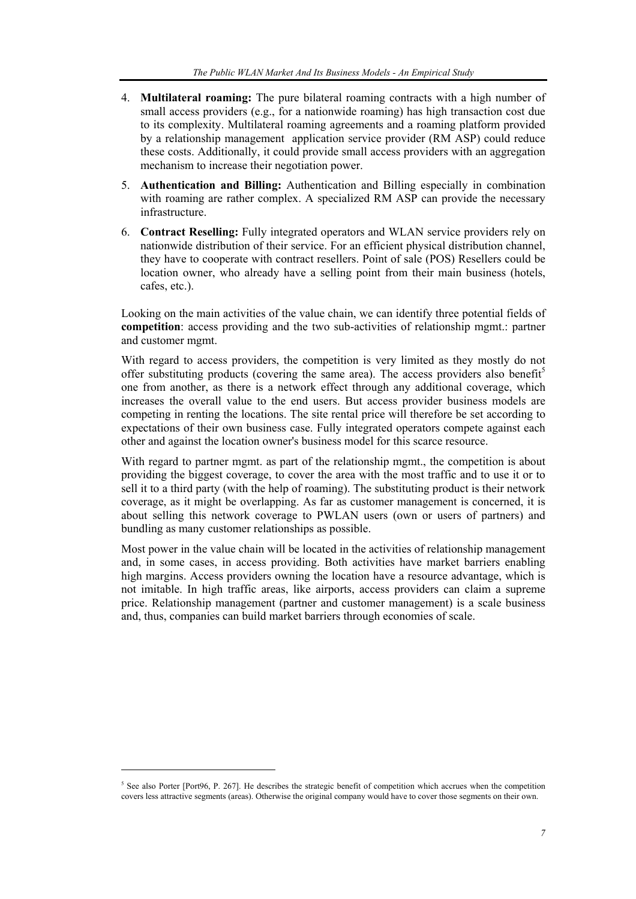- 4. **Multilateral roaming:** The pure bilateral roaming contracts with a high number of small access providers (e.g., for a nationwide roaming) has high transaction cost due to its complexity. Multilateral roaming agreements and a roaming platform provided by a relationship management application service provider (RM ASP) could reduce these costs. Additionally, it could provide small access providers with an aggregation mechanism to increase their negotiation power.
- 5. **Authentication and Billing:** Authentication and Billing especially in combination with roaming are rather complex. A specialized RM ASP can provide the necessary infrastructure.
- 6. **Contract Reselling:** Fully integrated operators and WLAN service providers rely on nationwide distribution of their service. For an efficient physical distribution channel, they have to cooperate with contract resellers. Point of sale (POS) Resellers could be location owner, who already have a selling point from their main business (hotels, cafes, etc.).

Looking on the main activities of the value chain, we can identify three potential fields of **competition**: access providing and the two sub-activities of relationship mgmt.: partner and customer mgmt.

With regard to access providers, the competition is very limited as they mostly do not offer substituting products (covering the same area). The access providers also benefit<sup>5</sup> one from another, as there is a network effect through any additional coverage, which increases the overall value to the end users. But access provider business models are competing in renting the locations. The site rental price will therefore be set according to expectations of their own business case. Fully integrated operators compete against each other and against the location owner's business model for this scarce resource.

With regard to partner mgmt. as part of the relationship mgmt., the competition is about providing the biggest coverage, to cover the area with the most traffic and to use it or to sell it to a third party (with the help of roaming). The substituting product is their network coverage, as it might be overlapping. As far as customer management is concerned, it is about selling this network coverage to PWLAN users (own or users of partners) and bundling as many customer relationships as possible.

Most power in the value chain will be located in the activities of relationship management and, in some cases, in access providing. Both activities have market barriers enabling high margins. Access providers owning the location have a resource advantage, which is not imitable. In high traffic areas, like airports, access providers can claim a supreme price. Relationship management (partner and customer management) is a scale business and, thus, companies can build market barriers through economies of scale.

 $\overline{a}$ 

 $5$  See also Porter [Port96, P. 267]. He describes the strategic benefit of competition which accrues when the competition covers less attractive segments (areas). Otherwise the original company would have to cover those segments on their own.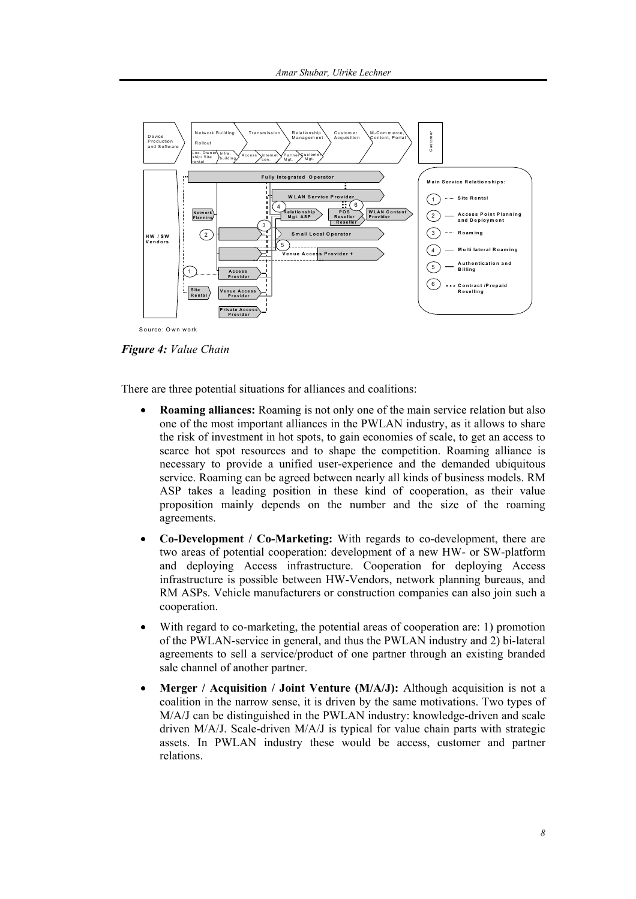

Figure 4: Value Chain

There are three potential situations for alliances and coalitions:

- **Roaming alliances:** Roaming is not only one of the main service relation but also one of the most important alliances in the PWLAN industry, as it allows to share the risk of investment in hot spots, to gain economies of scale, to get an access to scarce hot spot resources and to shape the competition. Roaming alliance is necessary to provide a unified user-experience and the demanded ubiquitous service. Roaming can be agreed between nearly all kinds of business models. RM ASP takes a leading position in these kind of cooperation, as their value proposition mainly depends on the number and the size of the roaming agreements.
- **Co-Development** / Co-Marketing: With regards to co-development, there are two areas of potential cooperation: development of a new HW- or SW-platform and deploying Access infrastructure. Cooperation for deploying Access infrastructure is possible between HW-Vendors, network planning bureaus, and RM ASPs. Vehicle manufacturers or construction companies can also join such a cooperation.
- With regard to co-marketing, the potential areas of cooperation are: 1) promotion of the PWLAN-service in general, and thus the PWLAN industry and 2) bi-lateral agreements to sell a service/product of one partner through an existing branded sale channel of another partner.
- **Merger** / Acquisition / Joint Venture ( $M/A/J$ ): Although acquisition is not a coalition in the narrow sense, it is driven by the same motivations. Two types of M/A/J can be distinguished in the PWLAN industry: knowledge-driven and scale driven M/A/J. Scale-driven M/A/J is typical for value chain parts with strategic assets. In PWLAN industry these would be access, customer and partner relations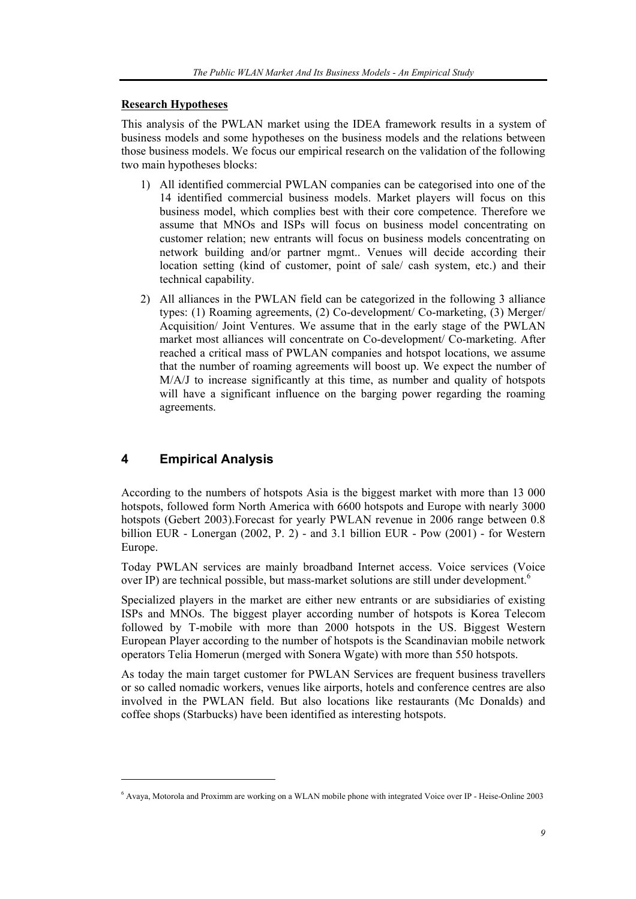#### **Research Hypotheses**

This analysis of the PWLAN market using the IDEA framework results in a system of business models and some hypotheses on the business models and the relations between those business models. We focus our empirical research on the validation of the following two main hypotheses blocks:

- 1) All identified commercial PWLAN companies can be categorised into one of the 14 identified commercial business models. Market players will focus on this business model, which complies best with their core competence. Therefore we assume that MNOs and ISPs will focus on business model concentrating on customer relation; new entrants will focus on business models concentrating on network building and/or partner mgmt.. Venues will decide according their location setting (kind of customer, point of sale/ cash system, etc.) and their technical capability.
- 2) All alliances in the PWLAN field can be categorized in the following 3 alliance types: (1) Roaming agreements, (2) Co-development/ Co-marketing, (3) Merger/ Acquisition/ Joint Ventures. We assume that in the early stage of the PWLAN market most alliances will concentrate on Co-development/ Co-marketing. After reached a critical mass of PWLAN companies and hotspot locations, we assume that the number of roaming agreements will boost up. We expect the number of M/A/J to increase significantly at this time, as number and quality of hotspots will have a significant influence on the barging power regarding the roaming agreements.

# **4 Empirical Analysis**

l

According to the numbers of hotspots Asia is the biggest market with more than 13 000 hotspots, followed form North America with 6600 hotspots and Europe with nearly 3000 hotspots (Gebert 2003).Forecast for yearly PWLAN revenue in 2006 range between 0.8 billion EUR - Lonergan (2002, P. 2) - and 3.1 billion EUR - Pow (2001) - for Western Europe.

Today PWLAN services are mainly broadband Internet access. Voice services (Voice over IP) are technical possible, but mass-market solutions are still under development.<sup>6</sup>

Specialized players in the market are either new entrants or are subsidiaries of existing ISPs and MNOs. The biggest player according number of hotspots is Korea Telecom followed by T-mobile with more than 2000 hotspots in the US. Biggest Western European Player according to the number of hotspots is the Scandinavian mobile network operators Telia Homerun (merged with Sonera Wgate) with more than 550 hotspots.

As today the main target customer for PWLAN Services are frequent business travellers or so called nomadic workers, venues like airports, hotels and conference centres are also involved in the PWLAN field. But also locations like restaurants (Mc Donalds) and coffee shops (Starbucks) have been identified as interesting hotspots.

<sup>6</sup> Avaya, Motorola and Proximm are working on a WLAN mobile phone with integrated Voice over IP - Heise-Online 2003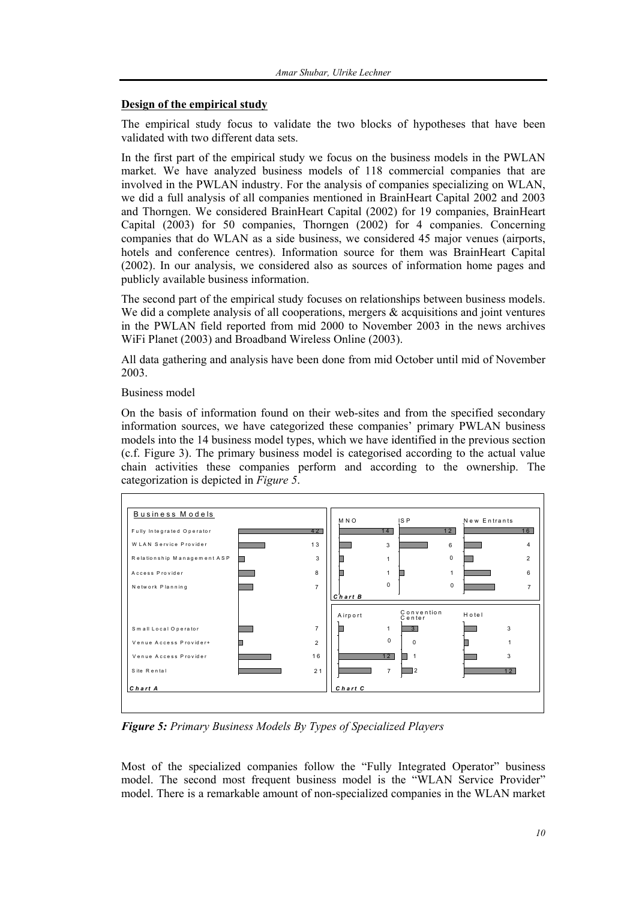#### **Design of the empirical study**

The empirical study focus to validate the two blocks of hypotheses that have been validated with two different data sets.

In the first part of the empirical study we focus on the business models in the PWLAN market. We have analyzed business models of 118 commercial companies that are involved in the PWLAN industry. For the analysis of companies specializing on WLAN, we did a full analysis of all companies mentioned in BrainHeart Capital 2002 and 2003 and Thorngen. We considered BrainHeart Capital (2002) for 19 companies, BrainHeart Capital (2003) for 50 companies, Thorngen (2002) for 4 companies. Concerning companies that do WLAN as a side business, we considered 45 major venues (airports, hotels and conference centres). Information source for them was BrainHeart Capital (2002). In our analysis, we considered also as sources of information home pages and publicly available business information.

The second part of the empirical study focuses on relationships between business models. We did a complete analysis of all cooperations, mergers  $\&$  acquisitions and joint ventures in the PWLAN field reported from mid 2000 to November 2003 in the news archives WiFi Planet (2003) and Broadband Wireless Online (2003).

All data gathering and analysis have been done from mid October until mid of November 2003.

#### Business model

On the basis of information found on their web-sites and from the specified secondary information sources, we have categorized these companies' primary PWLAN business models into the 14 business model types, which we have identified in the previous section (c.f. Figure 3). The primary business model is categorised according to the actual value chain activities these companies perform and according to the ownership. The categorization is depicted in *Figure 5*.



*Figure 5: Primary Business Models By Types of Specialized Players* 

Most of the specialized companies follow the "Fully Integrated Operator" business model. The second most frequent business model is the "WLAN Service Provider" model. There is a remarkable amount of non-specialized companies in the WLAN market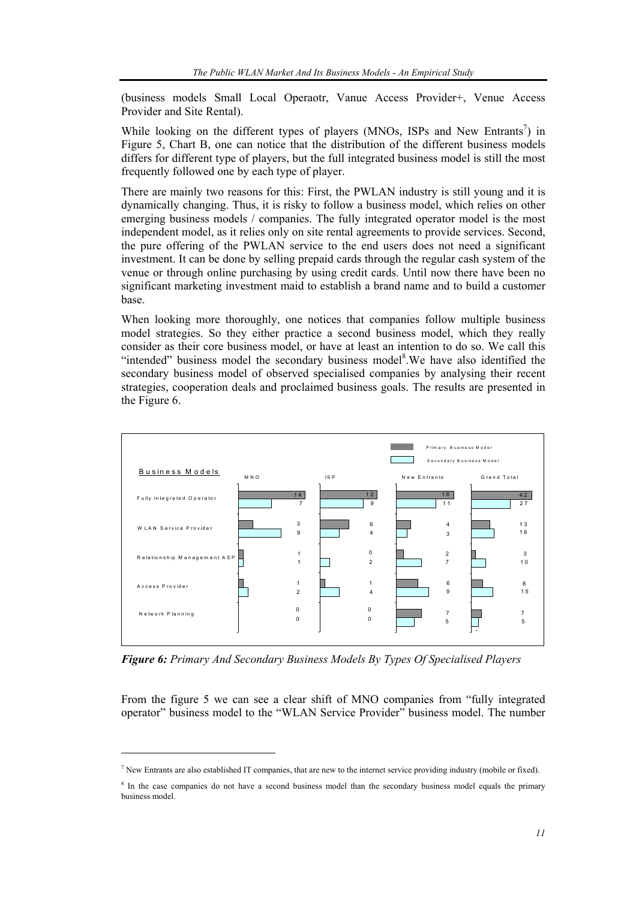(business models Small Local Operaotr, Vanue Access Provider+, Venue Access Provider and Site Rental).

While looking on the different types of players (MNOs, ISPs and New Entrants<sup>7</sup>) in Figure 5, Chart B, one can notice that the distribution of the different business models differs for different type of players, but the full integrated business model is still the most frequently followed one by each type of player.

There are mainly two reasons for this: First, the PWLAN industry is still young and it is dynamically changing. Thus, it is risky to follow a business model, which relies on other emerging business models / companies. The fully integrated operator model is the most independent model, as it relies only on site rental agreements to provide services. Second, the pure offering of the PWLAN service to the end users does not need a significant investment. It can be done by selling prepaid cards through the regular cash system of the venue or through online purchasing by using credit cards. Until now there have been no significant marketing investment maid to establish a brand name and to build a customer base.

When looking more thoroughly, one notices that companies follow multiple business model strategies. So they either practice a second business model, which they really consider as their core business model, or have at least an intention to do so. We call this "intended" business model the secondary business model<sup>8</sup>. We have also identified the secondary business model of observed specialised companies by analysing their recent strategies, cooperation deals and proclaimed business goals. The results are presented in the Figure 6.



*Figure 6: Primary And Secondary Business Models By Types Of Specialised Players* 

From the figure 5 we can see a clear shift of MNO companies from "fully integrated operator" business model to the "WLAN Service Provider" business model. The number

l

 $<sup>7</sup>$  New Entrants are also established IT companies, that are new to the internet service providing industry (mobile or fixed).</sup>

<sup>&</sup>lt;sup>8</sup> In the case companies do not have a second business model than the secondary business model equals the primary business model.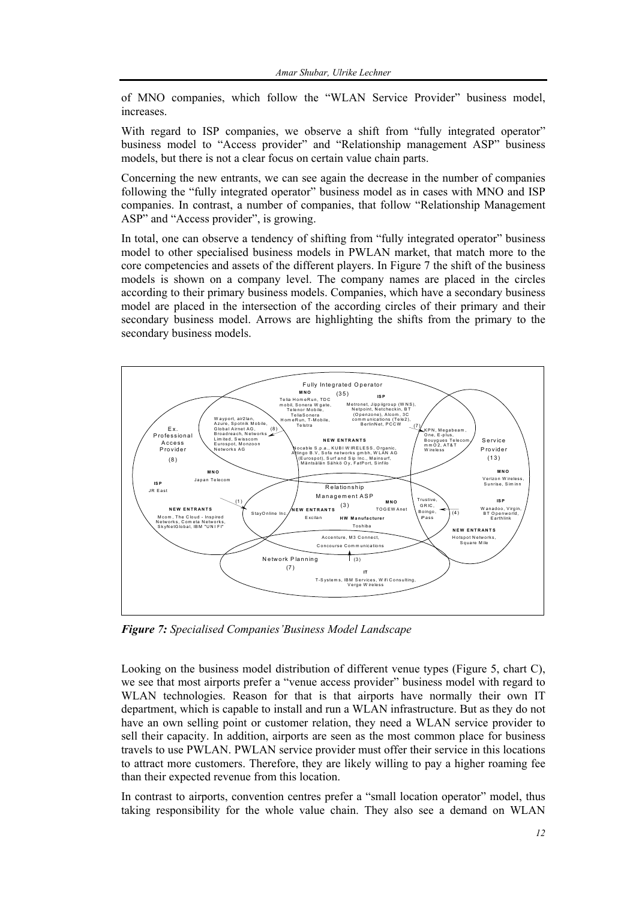of MNO companies, which follow the "WLAN Service Provider" business model, increases.

With regard to ISP companies, we observe a shift from "fully integrated operator" business model to "Access provider" and "Relationship management ASP" business models, but there is not a clear focus on certain value chain parts.

Concerning the new entrants, we can see again the decrease in the number of companies following the "fully integrated operator" business model as in cases with MNO and ISP companies. In contrast, a number of companies, that follow "Relationship Management ASP" and "Access provider", is growing.

In total, one can observe a tendency of shifting from "fully integrated operator" business model to other specialised business models in PWLAN market, that match more to the core competencies and assets of the different players. In Figure 7 the shift of the business models is shown on a company level. The company names are placed in the circles according to their primary business models. Companies, which have a secondary business model are placed in the intersection of the according circles of their primary and their secondary business model. Arrows are highlighting the shifts from the primary to the secondary business models.



**Figure 7:** Specialised Companies 'Business Model Landscape

Looking on the business model distribution of different venue types (Figure 5, chart C), we see that most airports prefer a "venue access provider" business model with regard to WLAN technologies. Reason for that is that airports have normally their own IT department, which is capable to install and run a WLAN infrastructure. But as they do not have an own selling point or customer relation, they need a WLAN service provider to sell their capacity. In addition, airports are seen as the most common place for business travels to use PWLAN. PWLAN service provider must offer their service in this locations to attract more customers. Therefore, they are likely willing to pay a higher roaming fee than their expected revenue from this location.

In contrast to airports, convention centres prefer a "small location operator" model, thus taking responsibility for the whole value chain. They also see a demand on WLAN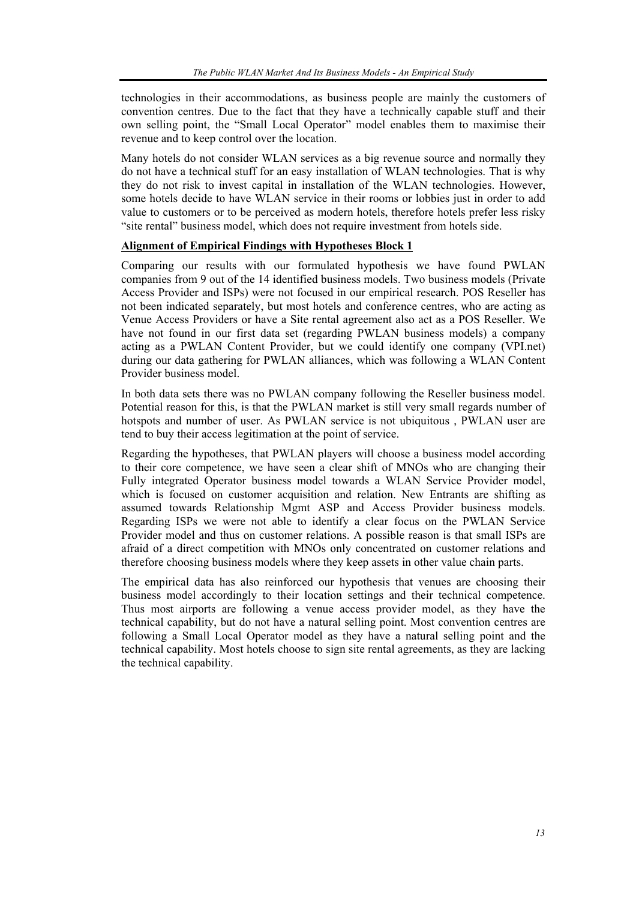technologies in their accommodations, as business people are mainly the customers of convention centres. Due to the fact that they have a technically capable stuff and their own selling point, the "Small Local Operator" model enables them to maximise their revenue and to keep control over the location.

Many hotels do not consider WLAN services as a big revenue source and normally they do not have a technical stuff for an easy installation of WLAN technologies. That is why they do not risk to invest capital in installation of the WLAN technologies. However, some hotels decide to have WLAN service in their rooms or lobbies just in order to add value to customers or to be perceived as modern hotels, therefore hotels prefer less risky "site rental" business model, which does not require investment from hotels side.

#### **Alignment of Empirical Findings with Hypotheses Block 1**

Comparing our results with our formulated hypothesis we have found PWLAN companies from 9 out of the 14 identified business models. Two business models (Private Access Provider and ISPs) were not focused in our empirical research. POS Reseller has not been indicated separately, but most hotels and conference centres, who are acting as Venue Access Providers or have a Site rental agreement also act as a POS Reseller. We have not found in our first data set (regarding PWLAN business models) a company acting as a PWLAN Content Provider, but we could identify one company (VPI.net) during our data gathering for PWLAN alliances, which was following a WLAN Content Provider business model.

In both data sets there was no PWLAN company following the Reseller business model. Potential reason for this, is that the PWLAN market is still very small regards number of hotspots and number of user. As PWLAN service is not ubiquitous , PWLAN user are tend to buy their access legitimation at the point of service.

Regarding the hypotheses, that PWLAN players will choose a business model according to their core competence, we have seen a clear shift of MNOs who are changing their Fully integrated Operator business model towards a WLAN Service Provider model, which is focused on customer acquisition and relation. New Entrants are shifting as assumed towards Relationship Mgmt ASP and Access Provider business models. Regarding ISPs we were not able to identify a clear focus on the PWLAN Service Provider model and thus on customer relations. A possible reason is that small ISPs are afraid of a direct competition with MNOs only concentrated on customer relations and therefore choosing business models where they keep assets in other value chain parts.

The empirical data has also reinforced our hypothesis that venues are choosing their business model accordingly to their location settings and their technical competence. Thus most airports are following a venue access provider model, as they have the technical capability, but do not have a natural selling point. Most convention centres are following a Small Local Operator model as they have a natural selling point and the technical capability. Most hotels choose to sign site rental agreements, as they are lacking the technical capability.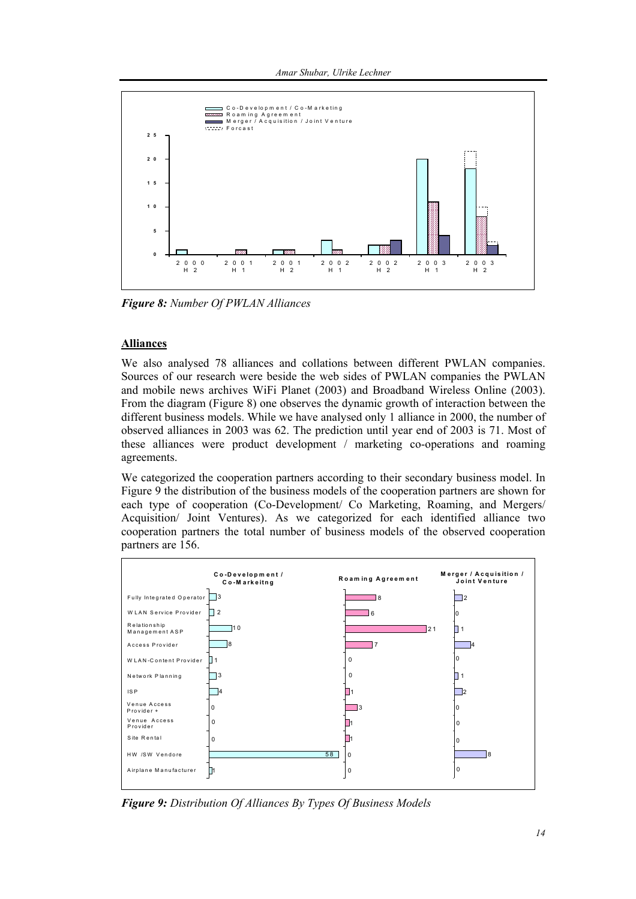Amar Shubar, Ulrike Lechner



Figure 8: Number Of PWLAN Alliances

#### **Alliances**

We also analysed 78 alliances and collations between different PWLAN companies. Sources of our research were beside the web sides of PWLAN companies the PWLAN and mobile news archives WiFi Planet (2003) and Broadband Wireless Online (2003). From the diagram (Figure 8) one observes the dynamic growth of interaction between the different business models. While we have analysed only 1 alliance in 2000, the number of observed alliances in 2003 was 62. The prediction until year end of 2003 is 71. Most of these alliances were product development / marketing co-operations and roaming agreements.

We categorized the cooperation partners according to their secondary business model. In Figure 9 the distribution of the business models of the cooperation partners are shown for each type of cooperation (Co-Development/ Co Marketing, Roaming, and Mergers/ Acquisition/ Joint Ventures). As we categorized for each identified alliance two cooperation partners the total number of business models of the observed cooperation partners are 156.



Figure 9: Distribution Of Alliances By Types Of Business Models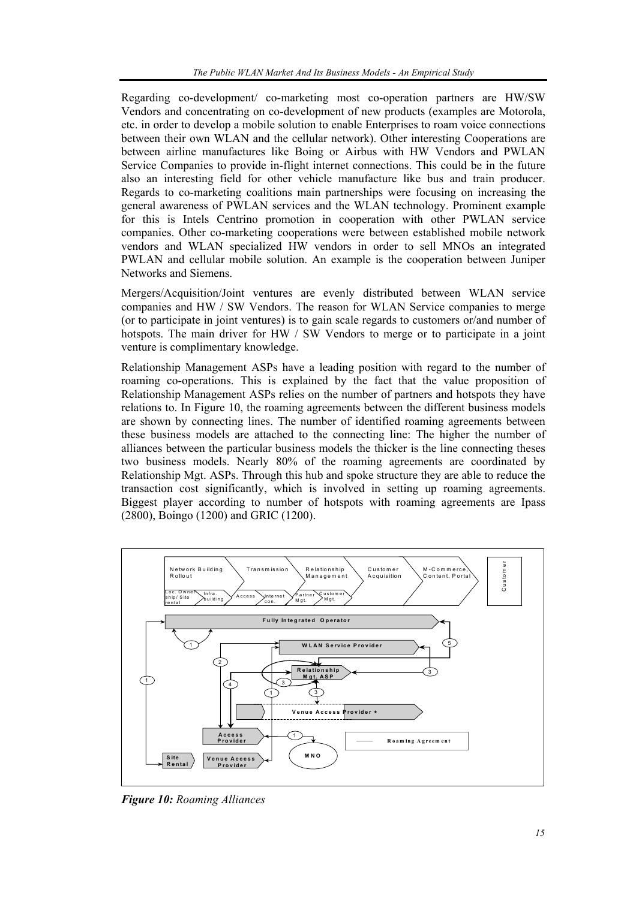Regarding co-development/ co-marketing most co-operation partners are HW/SW Vendors and concentrating on co-development of new products (examples are Motorola, etc. in order to develop a mobile solution to enable Enterprises to roam voice connections between their own WLAN and the cellular network). Other interesting Cooperations are between airline manufactures like Boing or Airbus with HW Vendors and PWLAN Service Companies to provide in-flight internet connections. This could be in the future also an interesting field for other vehicle manufacture like bus and train producer. Regards to co-marketing coalitions main partnerships were focusing on increasing the general awareness of PWLAN services and the WLAN technology. Prominent example for this is Intels Centrino promotion in cooperation with other PWLAN service companies. Other co-marketing cooperations were between established mobile network vendors and WLAN specialized HW vendors in order to sell MNOs an integrated PWLAN and cellular mobile solution. An example is the cooperation between Juniper Networks and Siemens.

Mergers/Acquisition/Joint ventures are evenly distributed between WLAN service companies and HW / SW Vendors. The reason for WLAN Service companies to merge (or to participate in joint ventures) is to gain scale regards to customers or/and number of hotspots. The main driver for HW  $/$  SW Vendors to merge or to participate in a joint venture is complimentary knowledge.

Relationship Management ASPs have a leading position with regard to the number of roaming co-operations. This is explained by the fact that the value proposition of Relationship Management ASPs relies on the number of partners and hotspots they have relations to. In Figure 10, the roaming agreements between the different business models are shown by connecting lines. The number of identified roaming agreements between these business models are attached to the connecting line: The higher the number of alliances between the particular business models the thicker is the line connecting theses two business models. Nearly 80% of the roaming agreements are coordinated by Relationship Mgt. ASPs. Through this hub and spoke structure they are able to reduce the transaction cost significantly, which is involved in setting up roaming agreements. Biggest player according to number of hotspots with roaming agreements are Ipass (2800), Boingo (1200) and GRIC (1200).



*Figure 10: Roaming Alliances*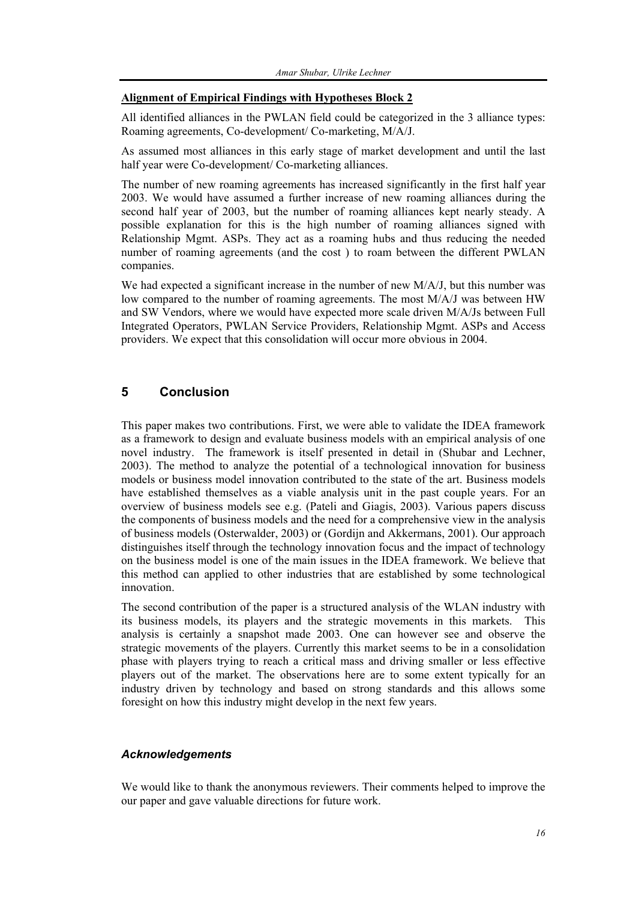#### **Alignment of Empirical Findings with Hypotheses Block 2**

All identified alliances in the PWLAN field could be categorized in the 3 alliance types: Roaming agreements, Co-development/ Co-marketing, M/A/J.

As assumed most alliances in this early stage of market development and until the last half year were Co-development/ Co-marketing alliances.

The number of new roaming agreements has increased significantly in the first half year 2003. We would have assumed a further increase of new roaming alliances during the second half year of 2003, but the number of roaming alliances kept nearly steady. A possible explanation for this is the high number of roaming alliances signed with Relationship Mgmt. ASPs. They act as a roaming hubs and thus reducing the needed number of roaming agreements (and the cost ) to roam between the different PWLAN companies.

We had expected a significant increase in the number of new M/A/J, but this number was low compared to the number of roaming agreements. The most M/A/J was between HW and SW Vendors, where we would have expected more scale driven M/A/Js between Full Integrated Operators, PWLAN Service Providers, Relationship Mgmt. ASPs and Access providers. We expect that this consolidation will occur more obvious in 2004.

## **5 Conclusion**

This paper makes two contributions. First, we were able to validate the IDEA framework as a framework to design and evaluate business models with an empirical analysis of one novel industry. The framework is itself presented in detail in (Shubar and Lechner, 2003). The method to analyze the potential of a technological innovation for business models or business model innovation contributed to the state of the art. Business models have established themselves as a viable analysis unit in the past couple years. For an overview of business models see e.g. (Pateli and Giagis, 2003). Various papers discuss the components of business models and the need for a comprehensive view in the analysis of business models (Osterwalder, 2003) or (Gordijn and Akkermans, 2001). Our approach distinguishes itself through the technology innovation focus and the impact of technology on the business model is one of the main issues in the IDEA framework. We believe that this method can applied to other industries that are established by some technological innovation.

The second contribution of the paper is a structured analysis of the WLAN industry with its business models, its players and the strategic movements in this markets. This analysis is certainly a snapshot made 2003. One can however see and observe the strategic movements of the players. Currently this market seems to be in a consolidation phase with players trying to reach a critical mass and driving smaller or less effective players out of the market. The observations here are to some extent typically for an industry driven by technology and based on strong standards and this allows some foresight on how this industry might develop in the next few years.

## *Acknowledgements*

We would like to thank the anonymous reviewers. Their comments helped to improve the our paper and gave valuable directions for future work.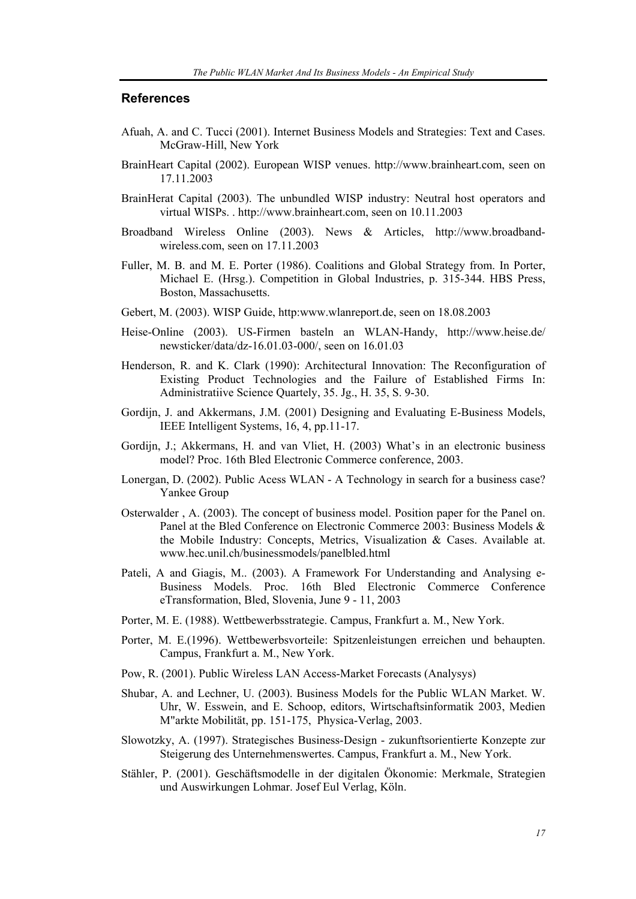#### **References**

- Afuah, A. and C. Tucci (2001). Internet Business Models and Strategies: Text and Cases. McGraw-Hill, New York
- BrainHeart Capital (2002). European WISP venues. http://www.brainheart.com, seen on 17.11.2003
- BrainHerat Capital (2003). The unbundled WISP industry: Neutral host operators and virtual WISPs. . http://www.brainheart.com, seen on 10.11.2003
- Broadband Wireless Online (2003). News & Articles, http://www.broadbandwireless.com, seen on 17.11.2003
- Fuller, M. B. and M. E. Porter (1986). Coalitions and Global Strategy from. In Porter, Michael E. (Hrsg.). Competition in Global Industries, p. 315-344. HBS Press, Boston, Massachusetts.
- Gebert, M. (2003). WISP Guide, http:www.wlanreport.de, seen on 18.08.2003
- Heise-Online (2003). US-Firmen basteln an WLAN-Handy, http://www.heise.de/ newsticker/data/dz-16.01.03-000/, seen on 16.01.03
- Henderson, R. and K. Clark (1990): Architectural Innovation: The Reconfiguration of Existing Product Technologies and the Failure of Established Firms In: Administratiive Science Quartely, 35. Jg., H. 35, S. 9-30.
- Gordijn, J. and Akkermans, J.M. (2001) Designing and Evaluating E-Business Models, IEEE Intelligent Systems, 16, 4, pp.11-17.
- Gordijn, J.; Akkermans, H. and van Vliet, H. (2003) What's in an electronic business model? Proc. 16th Bled Electronic Commerce conference, 2003.
- Lonergan, D. (2002). Public Acess WLAN A Technology in search for a business case? Yankee Group
- Osterwalder , A. (2003). The concept of business model. Position paper for the Panel on. Panel at the Bled Conference on Electronic Commerce 2003: Business Models & the Mobile Industry: Concepts, Metrics, Visualization & Cases. Available at. www.hec.unil.ch/businessmodels/panelbled.html
- Pateli, A and Giagis, M.. (2003). A Framework For Understanding and Analysing e-Business Models. Proc. 16th Bled Electronic Commerce Conference eTransformation, Bled, Slovenia, June 9 - 11, 2003
- Porter, M. E. (1988). Wettbewerbsstrategie. Campus, Frankfurt a. M., New York.
- Porter, M. E.(1996). Wettbewerbsvorteile: Spitzenleistungen erreichen und behaupten. Campus, Frankfurt a. M., New York.
- Pow, R. (2001). Public Wireless LAN Access-Market Forecasts (Analysys)
- Shubar, A. and Lechner, U. (2003). Business Models for the Public WLAN Market. W. Uhr, W. Esswein, and E. Schoop, editors, Wirtschaftsinformatik 2003, Medien M"arkte Mobilität, pp. 151-175, Physica-Verlag, 2003.
- Slowotzky, A. (1997). Strategisches Business-Design zukunftsorientierte Konzepte zur Steigerung des Unternehmenswertes. Campus, Frankfurt a. M., New York.
- Stähler, P. (2001). Geschäftsmodelle in der digitalen Ökonomie: Merkmale, Strategien und Auswirkungen Lohmar. Josef Eul Verlag, Köln.